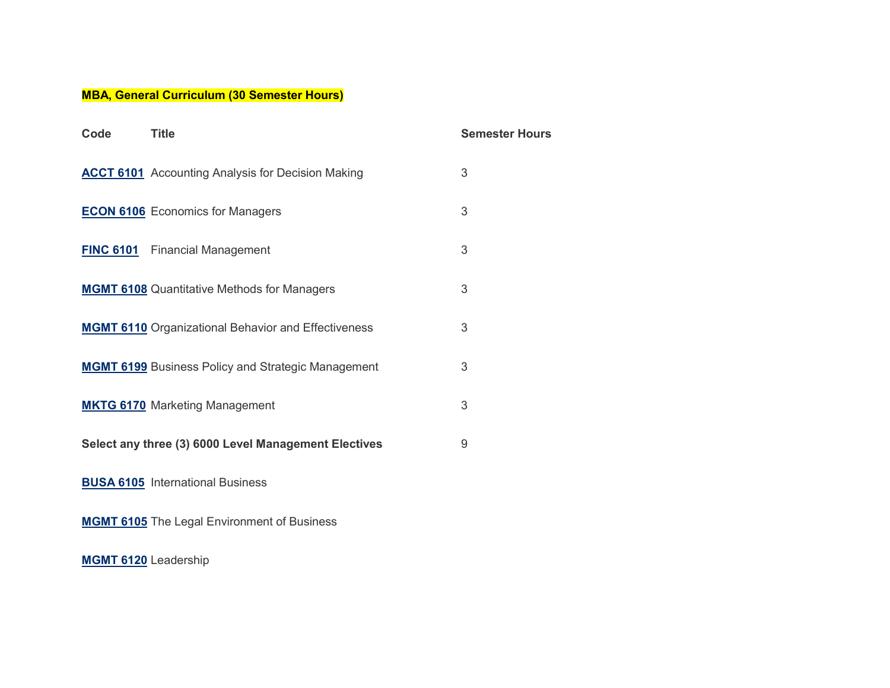## **MBA, General Curriculum (30 Semester Hours)**

| Code | <b>Title</b>                                               | <b>Semester Hours</b> |
|------|------------------------------------------------------------|-----------------------|
|      | <b>ACCT 6101</b> Accounting Analysis for Decision Making   | 3                     |
|      | <b>ECON 6106</b> Economics for Managers                    | 3                     |
|      | <b>FINC 6101</b> Financial Management                      | 3                     |
|      | <b>MGMT 6108</b> Quantitative Methods for Managers         | 3                     |
|      | <b>MGMT 6110</b> Organizational Behavior and Effectiveness | 3                     |
|      | <b>MGMT 6199</b> Business Policy and Strategic Management  | 3                     |
|      | <b>MKTG 6170</b> Marketing Management                      | 3                     |
|      | Select any three (3) 6000 Level Management Electives       | 9                     |
|      | <b>BUSA 6105</b> International Business                    |                       |
|      | <b>MGMT 6105</b> The Legal Environment of Business         |                       |

**[MGMT](https://catalog.asurams.edu/search/?P=MGMT%206120) 6120** Leadership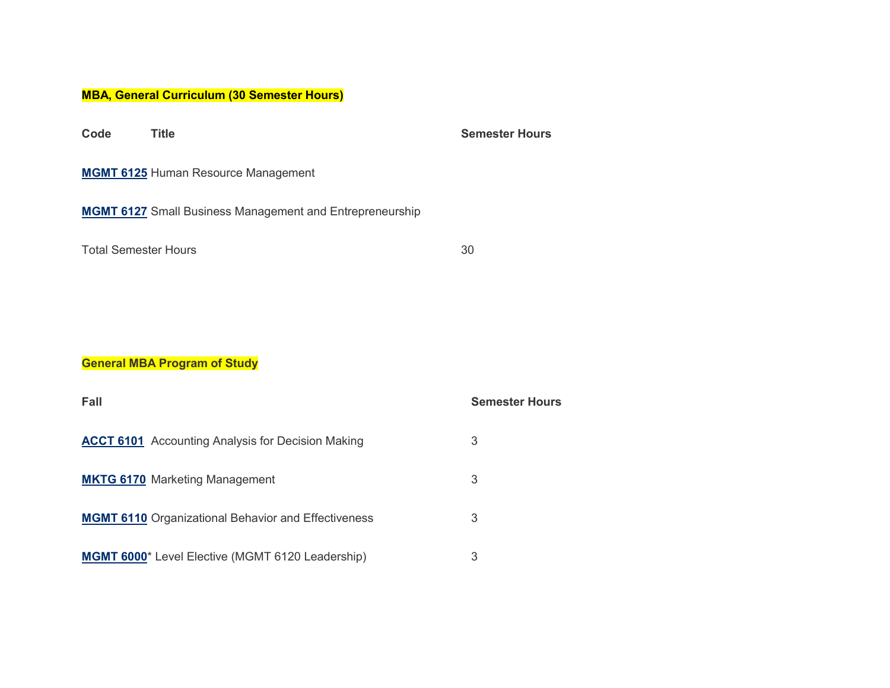## **MBA, General Curriculum (30 Semester Hours)**

**Code Title Semester Hours [MGMT](https://catalog.asurams.edu/search/?P=MGMT%206125) 6125** Human Resource Management **[MGMT](https://catalog.asurams.edu/search/?P=MGMT%206127) 6127** Small Business Management and Entrepreneurship Total Semester Hours 30

## **General MBA Program of Study**

| Fall                                                       | <b>Semester Hours</b> |
|------------------------------------------------------------|-----------------------|
| <b>ACCT 6101</b> Accounting Analysis for Decision Making   | 3                     |
| <b>MKTG 6170 Marketing Management</b>                      | 3                     |
| <b>MGMT 6110</b> Organizational Behavior and Effectiveness | 3                     |
| <b>MGMT 6000</b> * Level Elective (MGMT 6120 Leadership)   | 3                     |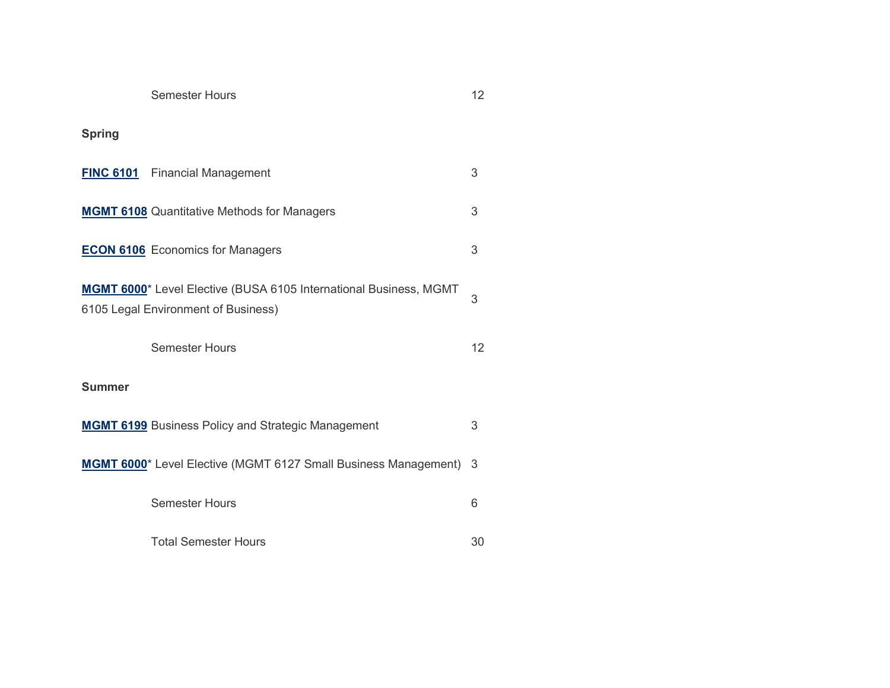|                                                                                                          | <b>Semester Hours</b>                                     | 12 |
|----------------------------------------------------------------------------------------------------------|-----------------------------------------------------------|----|
| <b>Spring</b>                                                                                            |                                                           |    |
|                                                                                                          | <b>FINC 6101</b> Financial Management                     | 3  |
|                                                                                                          | <b>MGMT 6108</b> Quantitative Methods for Managers        | 3  |
|                                                                                                          | <b>ECON 6106</b> Economics for Managers                   | 3  |
| MGMT 6000* Level Elective (BUSA 6105 International Business, MGMT<br>6105 Legal Environment of Business) | 3                                                         |    |
|                                                                                                          | <b>Semester Hours</b>                                     | 12 |
| <b>Summer</b>                                                                                            |                                                           |    |
|                                                                                                          | <b>MGMT 6199</b> Business Policy and Strategic Management | 3  |
| MGMT 6000* Level Elective (MGMT 6127 Small Business Management) 3                                        |                                                           |    |
|                                                                                                          | <b>Semester Hours</b>                                     | 6  |
|                                                                                                          | <b>Total Semester Hours</b>                               | 30 |